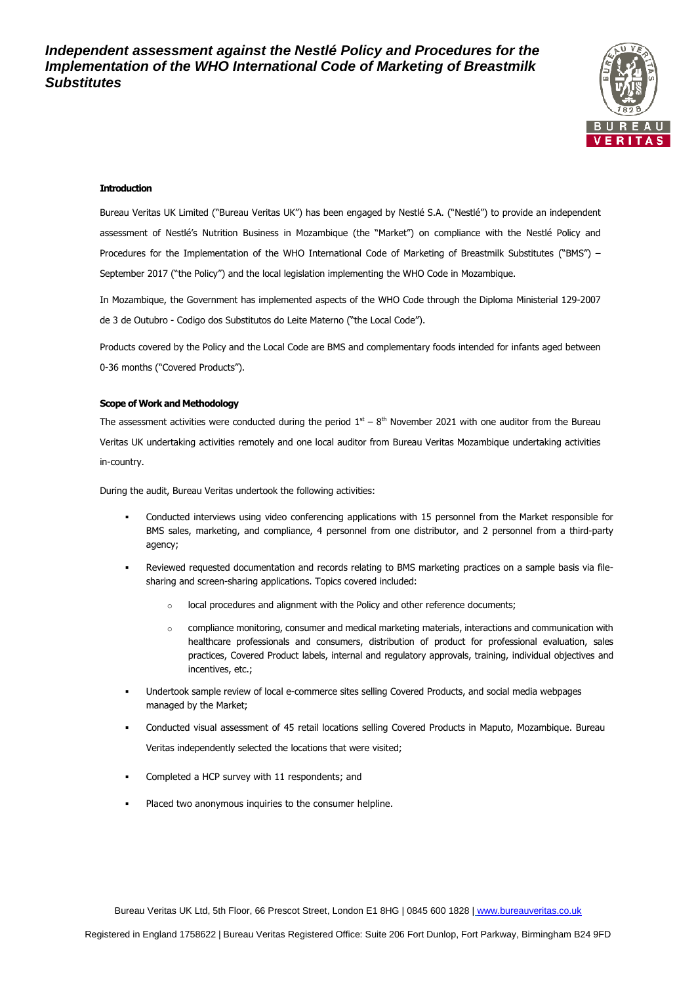

#### **Introduction**

Bureau Veritas UK Limited ("Bureau Veritas UK") has been engaged by Nestlé S.A. ("Nestlé") to provide an independent assessment of Nestlé's Nutrition Business in Mozambique (the "Market") on compliance with the Nestlé Policy and Procedures for the Implementation of the WHO International Code of Marketing of Breastmilk Substitutes ("BMS") – September 2017 ("the Policy") and the local legislation implementing the WHO Code in Mozambique.

In Mozambique, the Government has implemented aspects of the WHO Code through the Diploma Ministerial 129-2007 de 3 de Outubro - Codigo dos Substitutos do Leite Materno ("the Local Code").

Products covered by the Policy and the Local Code are BMS and complementary foods intended for infants aged between 0-36 months ("Covered Products").

## **Scope of Work and Methodology**

The assessment activities were conducted during the period  $1<sup>st</sup> - 8<sup>th</sup>$  November 2021 with one auditor from the Bureau Veritas UK undertaking activities remotely and one local auditor from Bureau Veritas Mozambique undertaking activities in-country.

During the audit, Bureau Veritas undertook the following activities:

- Conducted interviews using video conferencing applications with 15 personnel from the Market responsible for BMS sales, marketing, and compliance, 4 personnel from one distributor, and 2 personnel from a third-party agency;
- Reviewed requested documentation and records relating to BMS marketing practices on a sample basis via filesharing and screen-sharing applications. Topics covered included:
	- o local procedures and alignment with the Policy and other reference documents;
	- o compliance monitoring, consumer and medical marketing materials, interactions and communication with healthcare professionals and consumers, distribution of product for professional evaluation, sales practices, Covered Product labels, internal and regulatory approvals, training, individual objectives and incentives, etc.;
- Undertook sample review of local e-commerce sites selling Covered Products, and social media webpages managed by the Market;
- Conducted visual assessment of 45 retail locations selling Covered Products in Maputo, Mozambique. Bureau Veritas independently selected the locations that were visited;
- Completed a HCP survey with 11 respondents; and
- Placed two anonymous inquiries to the consumer helpline.

Bureau Veritas UK Ltd, 5th Floor, 66 Prescot Street, London E1 8HG | 0845 600 1828 | [www.bureauveritas.co.uk](http://www.bureauveritas.co.uk/)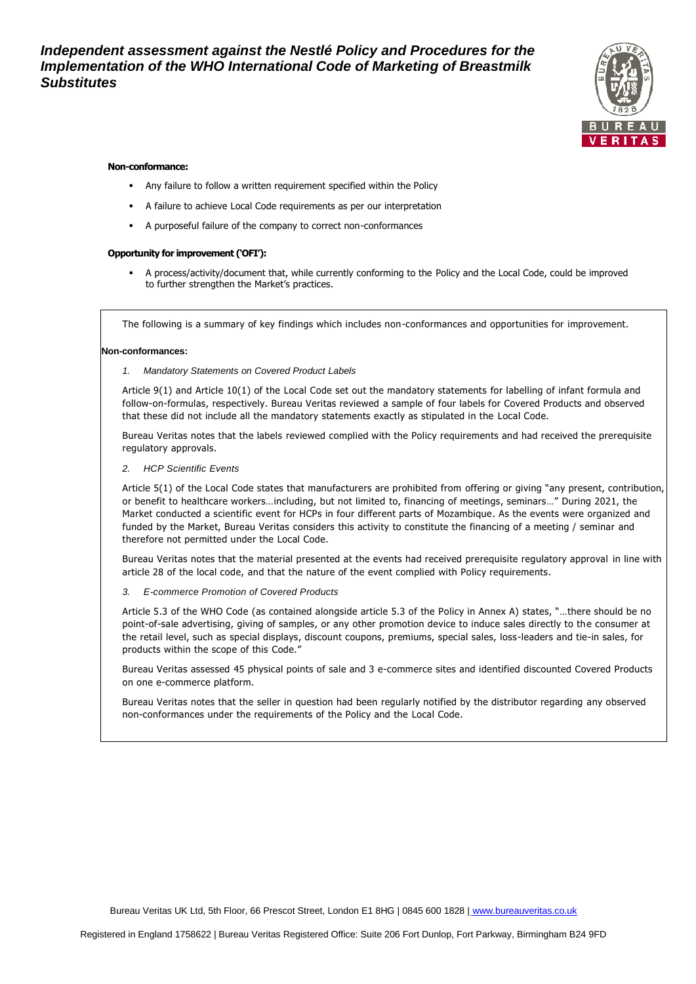

#### **Non-conformance:**

- **•** Any failure to follow a written requirement specified within the Policy
- A failure to achieve Local Code requirements as per our interpretation
- A purposeful failure of the company to correct non-conformances

#### **Opportunity for improvement ('OFI'):**

A process/activity/document that, while currently conforming to the Policy and the Local Code, could be improved to further strengthen the Market's practices.

The following is a summary of key findings which includes non-conformances and opportunities for improvement.

#### **Non-conformances:**

*1. Mandatory Statements on Covered Product Labels*

Article 9(1) and Article 10(1) of the Local Code set out the mandatory statements for labelling of infant formula and follow-on-formulas, respectively. Bureau Veritas reviewed a sample of four labels for Covered Products and observed that these did not include all the mandatory statements exactly as stipulated in the Local Code.

Bureau Veritas notes that the labels reviewed complied with the Policy requirements and had received the prerequisite regulatory approvals.

*2. HCP Scientific Events*

Article 5(1) of the Local Code states that manufacturers are prohibited from offering or giving "any present, contribution, or benefit to healthcare workers…including, but not limited to, financing of meetings, seminars…" During 2021, the Market conducted a scientific event for HCPs in four different parts of Mozambique. As the events were organized and funded by the Market, Bureau Veritas considers this activity to constitute the financing of a meeting / seminar and therefore not permitted under the Local Code.

Bureau Veritas notes that the material presented at the events had received prerequisite regulatory approval in line with article 28 of the local code, and that the nature of the event complied with Policy requirements.

*3. E-commerce Promotion of Covered Products* 

Article 5.3 of the WHO Code (as contained alongside article 5.3 of the Policy in Annex A) states, "…there should be no point-of-sale advertising, giving of samples, or any other promotion device to induce sales directly to the consumer at the retail level, such as special displays, discount coupons, premiums, special sales, loss-leaders and tie-in sales, for products within the scope of this Code."

Bureau Veritas assessed 45 physical points of sale and 3 e-commerce sites and identified discounted Covered Products on one e-commerce platform.

Bureau Veritas notes that the seller in question had been regularly notified by the distributor regarding any observed non-conformances under the requirements of the Policy and the Local Code.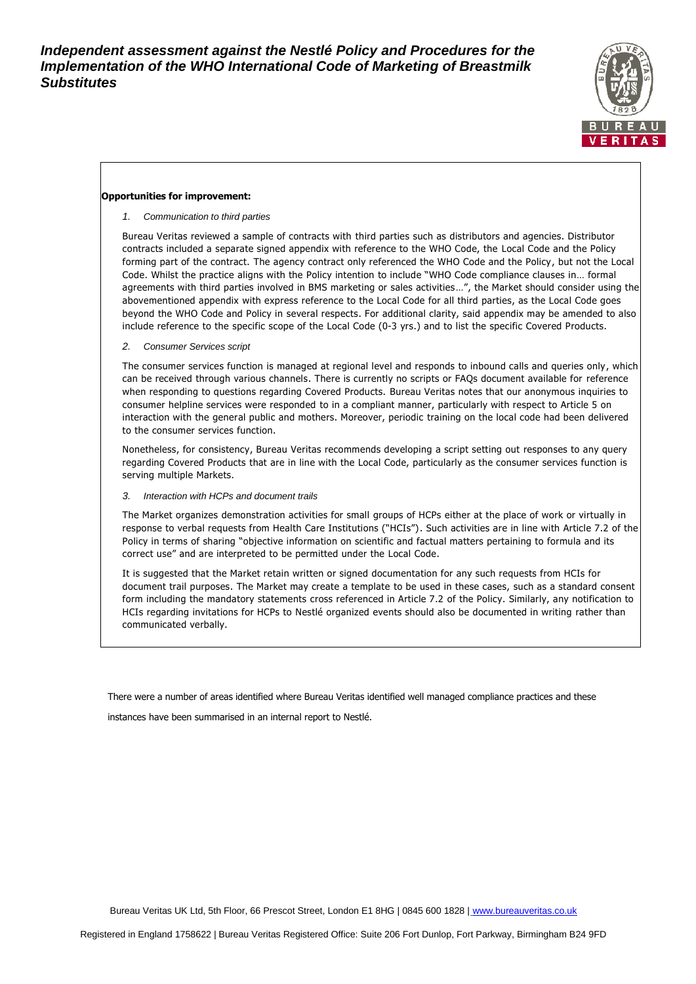

## **Opportunities for improvement:**

*1. Communication to third parties*

Bureau Veritas reviewed a sample of contracts with third parties such as distributors and agencies. Distributor contracts included a separate signed appendix with reference to the WHO Code, the Local Code and the Policy forming part of the contract. The agency contract only referenced the WHO Code and the Policy, but not the Local Code. Whilst the practice aligns with the Policy intention to include "WHO Code compliance clauses in… formal agreements with third parties involved in BMS marketing or sales activities…", the Market should consider using the abovementioned appendix with express reference to the Local Code for all third parties, as the Local Code goes beyond the WHO Code and Policy in several respects. For additional clarity, said appendix may be amended to also include reference to the specific scope of the Local Code (0-3 yrs.) and to list the specific Covered Products.

*2. Consumer Services script*

The consumer services function is managed at regional level and responds to inbound calls and queries only, which can be received through various channels. There is currently no scripts or FAQs document available for reference when responding to questions regarding Covered Products. Bureau Veritas notes that our anonymous inquiries to consumer helpline services were responded to in a compliant manner, particularly with respect to Article 5 on interaction with the general public and mothers. Moreover, periodic training on the local code had been delivered to the consumer services function.

Nonetheless, for consistency, Bureau Veritas recommends developing a script setting out responses to any query regarding Covered Products that are in line with the Local Code, particularly as the consumer services function is serving multiple Markets.

#### *3. Interaction with HCPs and document trails*

The Market organizes demonstration activities for small groups of HCPs either at the place of work or virtually in response to verbal requests from Health Care Institutions ("HCIs"). Such activities are in line with Article 7.2 of the Policy in terms of sharing "objective information on scientific and factual matters pertaining to formula and its correct use" and are interpreted to be permitted under the Local Code.

It is suggested that the Market retain written or signed documentation for any such requests from HCIs for document trail purposes. The Market may create a template to be used in these cases, such as a standard consent form including the mandatory statements cross referenced in Article 7.2 of the Policy. Similarly, any notification to HCIs regarding invitations for HCPs to Nestlé organized events should also be documented in writing rather than communicated verbally.

There were a number of areas identified where Bureau Veritas identified well managed compliance practices and these

instances have been summarised in an internal report to Nestlé.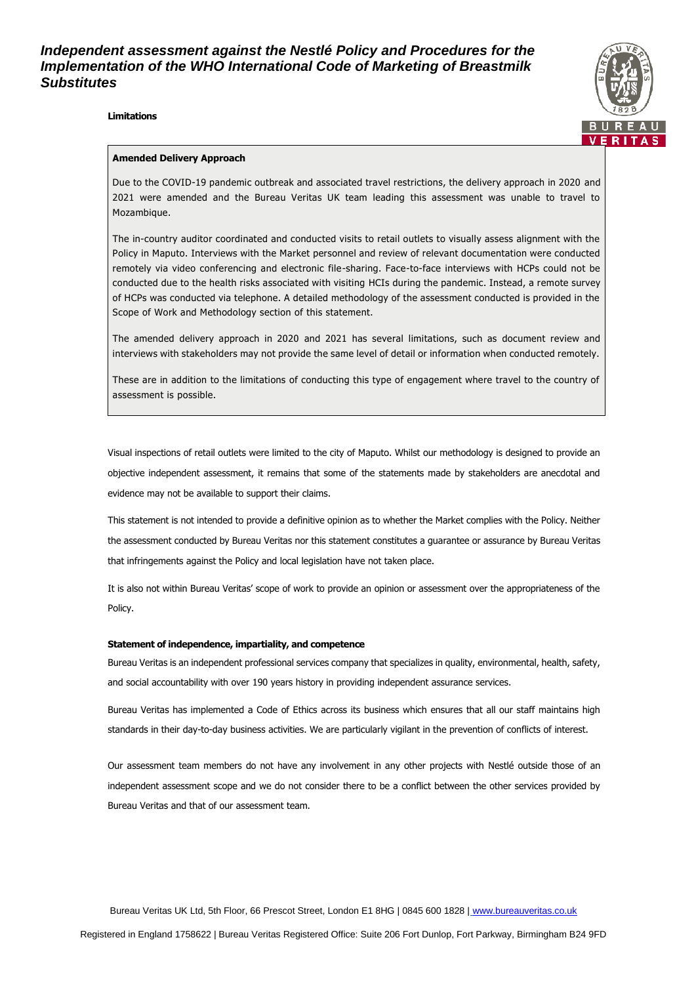### **Limitations**



### **Amended Delivery Approach**

Due to the COVID-19 pandemic outbreak and associated travel restrictions, the delivery approach in 2020 and 2021 were amended and the Bureau Veritas UK team leading this assessment was unable to travel to Mozambique.

The in-country auditor coordinated and conducted visits to retail outlets to visually assess alignment with the Policy in Maputo. Interviews with the Market personnel and review of relevant documentation were conducted remotely via video conferencing and electronic file-sharing. Face-to-face interviews with HCPs could not be conducted due to the health risks associated with visiting HCIs during the pandemic. Instead, a remote survey of HCPs was conducted via telephone. A detailed methodology of the assessment conducted is provided in the Scope of Work and Methodology section of this statement.

The amended delivery approach in 2020 and 2021 has several limitations, such as document review and interviews with stakeholders may not provide the same level of detail or information when conducted remotely.

These are in addition to the limitations of conducting this type of engagement where travel to the country of assessment is possible.

Visual inspections of retail outlets were limited to the city of Maputo. Whilst our methodology is designed to provide an objective independent assessment, it remains that some of the statements made by stakeholders are anecdotal and evidence may not be available to support their claims.

This statement is not intended to provide a definitive opinion as to whether the Market complies with the Policy. Neither the assessment conducted by Bureau Veritas nor this statement constitutes a guarantee or assurance by Bureau Veritas that infringements against the Policy and local legislation have not taken place.

It is also not within Bureau Veritas' scope of work to provide an opinion or assessment over the appropriateness of the Policy.

#### **Statement of independence, impartiality, and competence**

Bureau Veritas is an independent professional services company that specializes in quality, environmental, health, safety, and social accountability with over 190 years history in providing independent assurance services.

Bureau Veritas has implemented a Code of Ethics across its business which ensures that all our staff maintains high standards in their day-to-day business activities. We are particularly vigilant in the prevention of conflicts of interest.

Our assessment team members do not have any involvement in any other projects with Nestlé outside those of an independent assessment scope and we do not consider there to be a conflict between the other services provided by Bureau Veritas and that of our assessment team.

Bureau Veritas UK Ltd, 5th Floor, 66 Prescot Street, London E1 8HG | 0845 600 1828 | [www.bureauveritas.co.uk](http://www.bureauveritas.co.uk/)